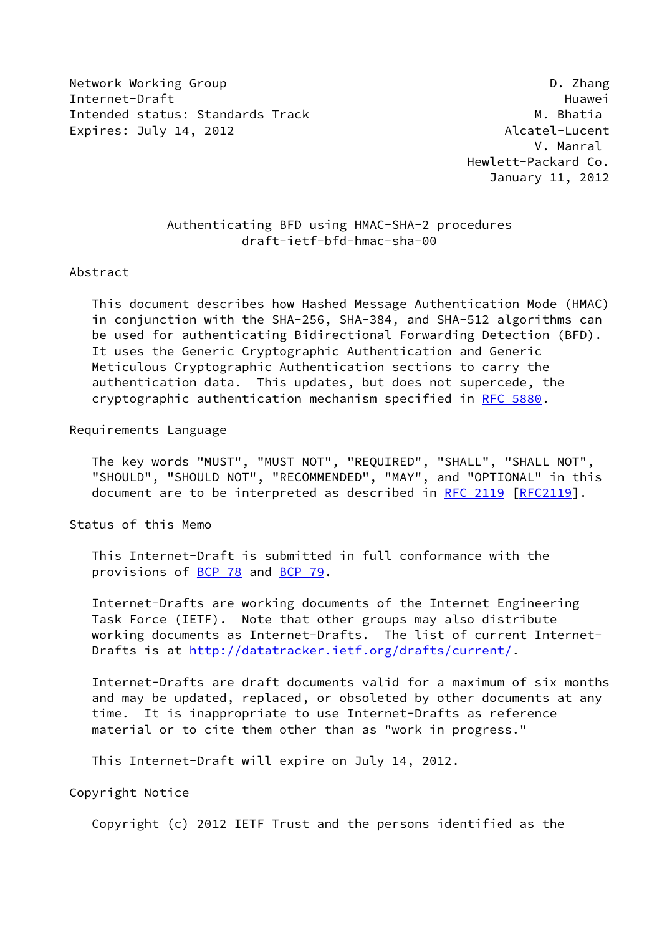Network Working Group **D. 2008** Network Working Group Internet-Draft Huawei Intended status: Standards Track Metal Metal M. Bhatia Expires: July 14, 2012 **Alcatel-Lucent** 

 V. Manral Hewlett-Packard Co. January 11, 2012

## Authenticating BFD using HMAC-SHA-2 procedures draft-ietf-bfd-hmac-sha-00

## Abstract

 This document describes how Hashed Message Authentication Mode (HMAC) in conjunction with the SHA-256, SHA-384, and SHA-512 algorithms can be used for authenticating Bidirectional Forwarding Detection (BFD). It uses the Generic Cryptographic Authentication and Generic Meticulous Cryptographic Authentication sections to carry the authentication data. This updates, but does not supercede, the cryptographic authentication mechanism specified in [RFC 5880.](https://datatracker.ietf.org/doc/pdf/rfc5880)

Requirements Language

 The key words "MUST", "MUST NOT", "REQUIRED", "SHALL", "SHALL NOT", "SHOULD", "SHOULD NOT", "RECOMMENDED", "MAY", and "OPTIONAL" in this document are to be interpreted as described in [RFC 2119 \[RFC2119](https://datatracker.ietf.org/doc/pdf/rfc2119)].

Status of this Memo

 This Internet-Draft is submitted in full conformance with the provisions of [BCP 78](https://datatracker.ietf.org/doc/pdf/bcp78) and [BCP 79](https://datatracker.ietf.org/doc/pdf/bcp79).

 Internet-Drafts are working documents of the Internet Engineering Task Force (IETF). Note that other groups may also distribute working documents as Internet-Drafts. The list of current Internet- Drafts is at<http://datatracker.ietf.org/drafts/current/>.

 Internet-Drafts are draft documents valid for a maximum of six months and may be updated, replaced, or obsoleted by other documents at any time. It is inappropriate to use Internet-Drafts as reference material or to cite them other than as "work in progress."

This Internet-Draft will expire on July 14, 2012.

Copyright Notice

Copyright (c) 2012 IETF Trust and the persons identified as the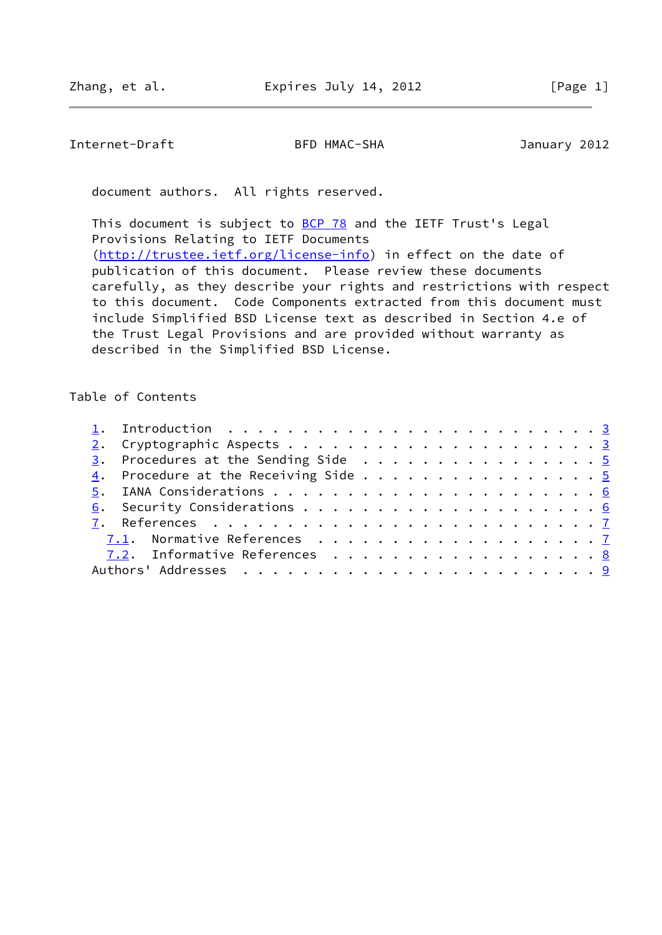Internet-Draft BFD HMAC-SHA January 2012

document authors. All rights reserved.

This document is subject to **[BCP 78](https://datatracker.ietf.org/doc/pdf/bcp78)** and the IETF Trust's Legal Provisions Relating to IETF Documents [\(http://trustee.ietf.org/license-info](http://trustee.ietf.org/license-info)) in effect on the date of publication of this document. Please review these documents carefully, as they describe your rights and restrictions with respect to this document. Code Components extracted from this document must include Simplified BSD License text as described in Section 4.e of the Trust Legal Provisions and are provided without warranty as described in the Simplified BSD License.

Table of Contents

|  | $\frac{3}{2}$ . Procedures at the Sending Side 5 |  |  |  |  |  |  |  |  |  |
|--|--------------------------------------------------|--|--|--|--|--|--|--|--|--|
|  | 4. Procedure at the Receiving Side 5             |  |  |  |  |  |  |  |  |  |
|  |                                                  |  |  |  |  |  |  |  |  |  |
|  |                                                  |  |  |  |  |  |  |  |  |  |
|  |                                                  |  |  |  |  |  |  |  |  |  |
|  |                                                  |  |  |  |  |  |  |  |  |  |
|  | 7.2. Informative References 8                    |  |  |  |  |  |  |  |  |  |
|  |                                                  |  |  |  |  |  |  |  |  |  |
|  |                                                  |  |  |  |  |  |  |  |  |  |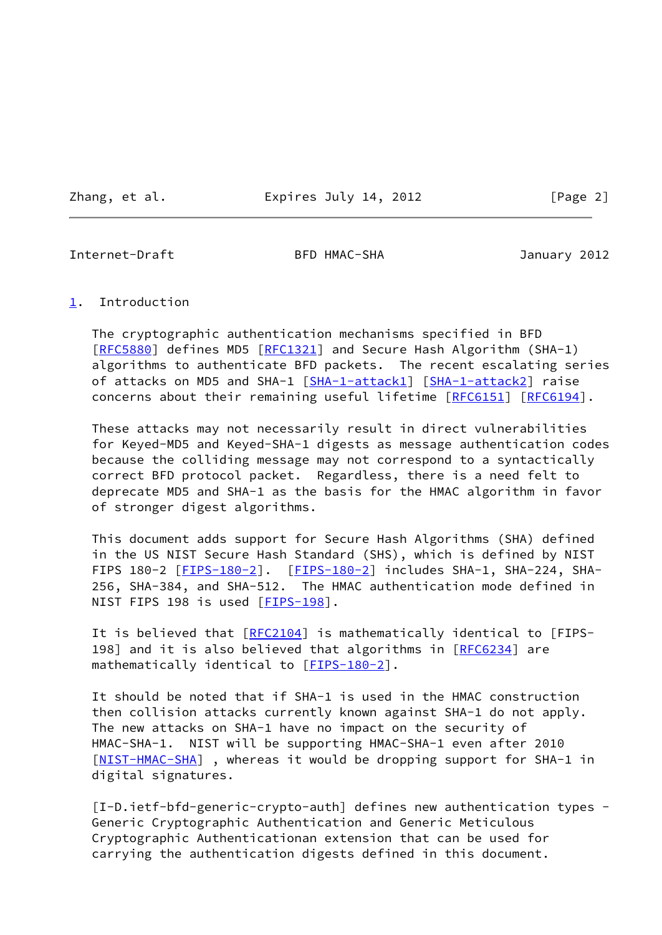Zhang, et al. **Expires July 14, 2012** [Page 2]

<span id="page-2-1"></span>Internet-Draft BFD HMAC-SHA January 2012

## <span id="page-2-0"></span>[1](#page-2-0). Introduction

 The cryptographic authentication mechanisms specified in BFD [\[RFC5880](https://datatracker.ietf.org/doc/pdf/rfc5880)] defines MD5 [[RFC1321](https://datatracker.ietf.org/doc/pdf/rfc1321)] and Secure Hash Algorithm (SHA-1) algorithms to authenticate BFD packets. The recent escalating series of attacks on MD5 and SHA-1 [\[SHA-1-attack1](#page-9-1)] [\[SHA-1-attack2](#page-9-2)] raise concerns about their remaining useful lifetime [\[RFC6151](https://datatracker.ietf.org/doc/pdf/rfc6151)] [\[RFC6194](https://datatracker.ietf.org/doc/pdf/rfc6194)].

 These attacks may not necessarily result in direct vulnerabilities for Keyed-MD5 and Keyed-SHA-1 digests as message authentication codes because the colliding message may not correspond to a syntactically correct BFD protocol packet. Regardless, there is a need felt to deprecate MD5 and SHA-1 as the basis for the HMAC algorithm in favor of stronger digest algorithms.

 This document adds support for Secure Hash Algorithms (SHA) defined in the US NIST Secure Hash Standard (SHS), which is defined by NIST FIPS 180-2 [[FIPS-180-2\]](#page-7-3). [FIPS-180-2] includes SHA-1, SHA-224, SHA- 256, SHA-384, and SHA-512. The HMAC authentication mode defined in NIST FIPS 198 is used [[FIPS-198\]](#page-7-4).

It is believed that [\[RFC2104](https://datatracker.ietf.org/doc/pdf/rfc2104)] is mathematically identical to [FIPS-198] and it is also believed that algorithms in [\[RFC6234](https://datatracker.ietf.org/doc/pdf/rfc6234)] are mathematically identical to [\[FIPS-180-2\]](#page-7-3).

 It should be noted that if SHA-1 is used in the HMAC construction then collision attacks currently known against SHA-1 do not apply. The new attacks on SHA-1 have no impact on the security of HMAC-SHA-1. NIST will be supporting HMAC-SHA-1 even after 2010 [\[NIST-HMAC-SHA](#page-8-1)], whereas it would be dropping support for SHA-1 in digital signatures.

 [I-D.ietf-bfd-generic-crypto-auth] defines new authentication types - Generic Cryptographic Authentication and Generic Meticulous Cryptographic Authenticationan extension that can be used for carrying the authentication digests defined in this document.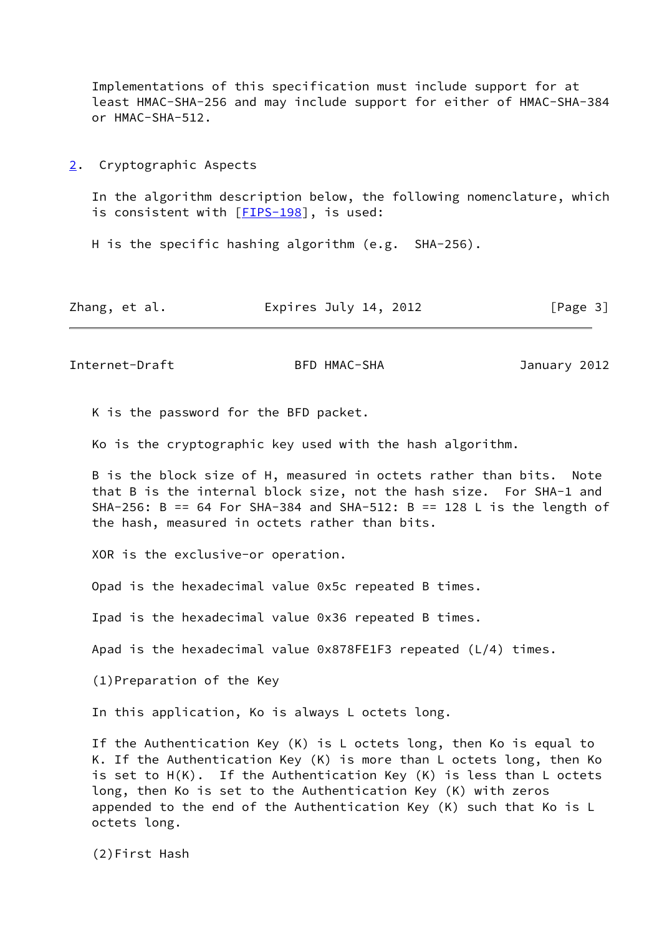Implementations of this specification must include support for at least HMAC-SHA-256 and may include support for either of HMAC-SHA-384 or HMAC-SHA-512.

<span id="page-3-0"></span>[2](#page-3-0). Cryptographic Aspects

 In the algorithm description below, the following nomenclature, which is consistent with [[FIPS-198\]](#page-7-4), is used:

H is the specific hashing algorithm (e.g. SHA-256).

| Zhang, et al. | Expires July 14, 2012 | [Page 3] |
|---------------|-----------------------|----------|
|---------------|-----------------------|----------|

Internet-Draft BFD HMAC-SHA January 2012

K is the password for the BFD packet.

Ko is the cryptographic key used with the hash algorithm.

 B is the block size of H, measured in octets rather than bits. Note that B is the internal block size, not the hash size. For SHA-1 and SHA-256: B == 64 For SHA-384 and SHA-512: B == 128 L is the length of the hash, measured in octets rather than bits.

XOR is the exclusive-or operation.

Opad is the hexadecimal value 0x5c repeated B times.

Ipad is the hexadecimal value 0x36 repeated B times.

Apad is the hexadecimal value 0x878FE1F3 repeated (L/4) times.

(1)Preparation of the Key

In this application, Ko is always L octets long.

 If the Authentication Key (K) is L octets long, then Ko is equal to K. If the Authentication Key (K) is more than L octets long, then Ko is set to H(K). If the Authentication Key (K) is less than L octets long, then Ko is set to the Authentication Key (K) with zeros appended to the end of the Authentication Key  $(K)$  such that Ko is L octets long.

(2)First Hash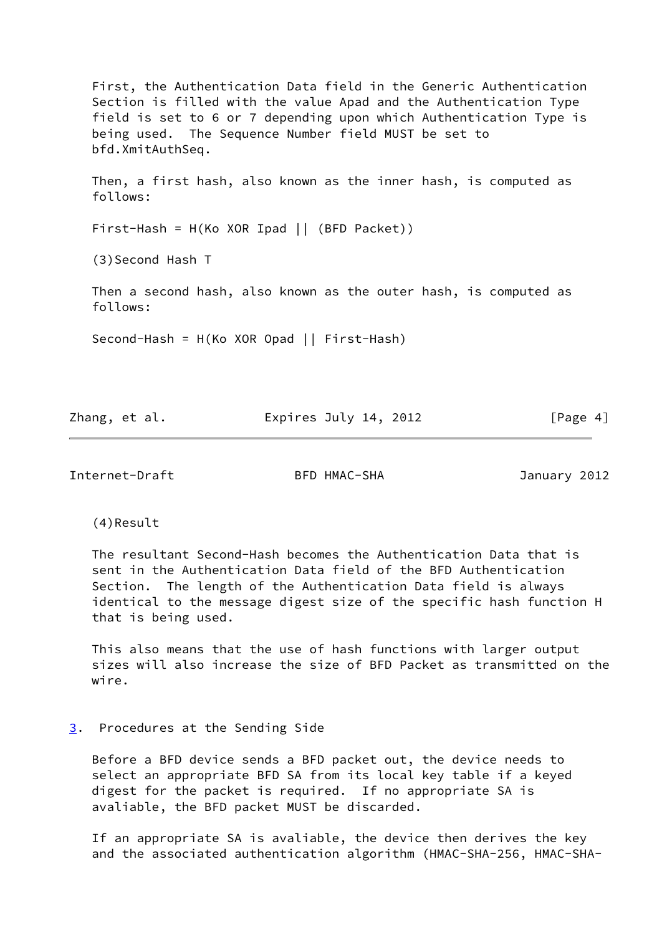First, the Authentication Data field in the Generic Authentication Section is filled with the value Apad and the Authentication Type field is set to 6 or 7 depending upon which Authentication Type is being used. The Sequence Number field MUST be set to bfd.XmitAuthSeq. Then, a first hash, also known as the inner hash, is computed as follows: First-Hash = H(Ko XOR Ipad || (BFD Packet)) (3)Second Hash T Then a second hash, also known as the outer hash, is computed as follows: Second-Hash = H(Ko XOR Opad || First-Hash)

Zhang, et al. **Expires July 14, 2012** [Page 4]

<span id="page-4-1"></span>Internet-Draft BFD HMAC-SHA January 2012

(4)Result

 The resultant Second-Hash becomes the Authentication Data that is sent in the Authentication Data field of the BFD Authentication Section. The length of the Authentication Data field is always identical to the message digest size of the specific hash function H that is being used.

 This also means that the use of hash functions with larger output sizes will also increase the size of BFD Packet as transmitted on the wire.

## <span id="page-4-0"></span>[3](#page-4-0). Procedures at the Sending Side

 Before a BFD device sends a BFD packet out, the device needs to select an appropriate BFD SA from its local key table if a keyed digest for the packet is required. If no appropriate SA is avaliable, the BFD packet MUST be discarded.

 If an appropriate SA is avaliable, the device then derives the key and the associated authentication algorithm (HMAC-SHA-256, HMAC-SHA-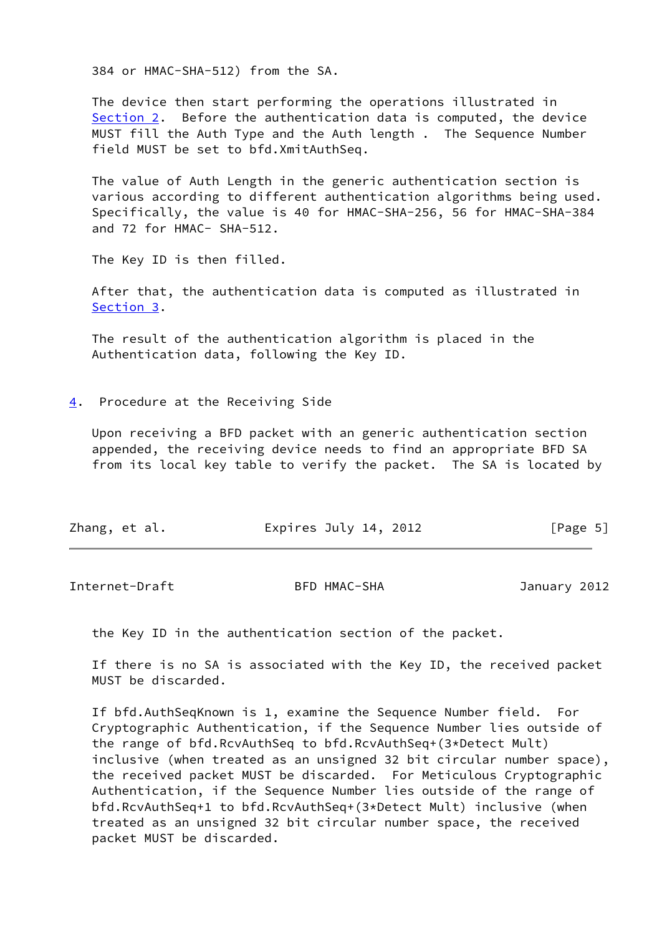384 or HMAC-SHA-512) from the SA.

 The device then start performing the operations illustrated in [Section 2](#page-3-0). Before the authentication data is computed, the device MUST fill the Auth Type and the Auth length . The Sequence Number field MUST be set to bfd.XmitAuthSeq.

 The value of Auth Length in the generic authentication section is various according to different authentication algorithms being used. Specifically, the value is 40 for HMAC-SHA-256, 56 for HMAC-SHA-384 and 72 for HMAC- SHA-512.

The Key ID is then filled.

 After that, the authentication data is computed as illustrated in [Section 3](#page-4-0).

 The result of the authentication algorithm is placed in the Authentication data, following the Key ID.

<span id="page-5-0"></span>[4](#page-5-0). Procedure at the Receiving Side

 Upon receiving a BFD packet with an generic authentication section appended, the receiving device needs to find an appropriate BFD SA from its local key table to verify the packet. The SA is located by

| Expires July 14, 2012<br>Zhang, et al.<br>[Page 5] |  |
|----------------------------------------------------|--|
|----------------------------------------------------|--|

<span id="page-5-1"></span>Internet-Draft BFD HMAC-SHA January 2012

the Key ID in the authentication section of the packet.

 If there is no SA is associated with the Key ID, the received packet MUST be discarded.

 If bfd.AuthSeqKnown is 1, examine the Sequence Number field. For Cryptographic Authentication, if the Sequence Number lies outside of the range of bfd.RcvAuthSeq to bfd.RcvAuthSeq+(3\*Detect Mult) inclusive (when treated as an unsigned 32 bit circular number space), the received packet MUST be discarded. For Meticulous Cryptographic Authentication, if the Sequence Number lies outside of the range of bfd.RcvAuthSeq+1 to bfd.RcvAuthSeq+(3\*Detect Mult) inclusive (when treated as an unsigned 32 bit circular number space, the received packet MUST be discarded.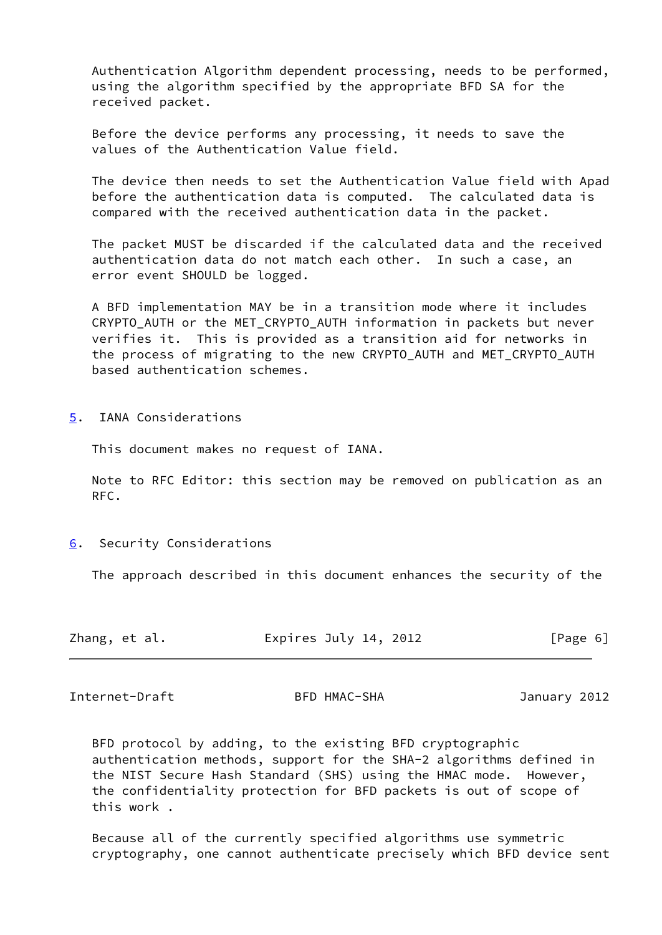Authentication Algorithm dependent processing, needs to be performed, using the algorithm specified by the appropriate BFD SA for the received packet.

 Before the device performs any processing, it needs to save the values of the Authentication Value field.

 The device then needs to set the Authentication Value field with Apad before the authentication data is computed. The calculated data is compared with the received authentication data in the packet.

 The packet MUST be discarded if the calculated data and the received authentication data do not match each other. In such a case, an error event SHOULD be logged.

 A BFD implementation MAY be in a transition mode where it includes CRYPTO AUTH or the MET CRYPTO AUTH information in packets but never verifies it. This is provided as a transition aid for networks in the process of migrating to the new CRYPTO AUTH and MET CRYPTO AUTH based authentication schemes.

<span id="page-6-0"></span>[5](#page-6-0). IANA Considerations

This document makes no request of IANA.

 Note to RFC Editor: this section may be removed on publication as an RFC.

<span id="page-6-1"></span>[6](#page-6-1). Security Considerations

The approach described in this document enhances the security of the

| Zhang, et al. | Expires July 14, 2012 | [Page 6] |
|---------------|-----------------------|----------|
|---------------|-----------------------|----------|

<span id="page-6-2"></span>Internet-Draft BFD HMAC-SHA January 2012

 BFD protocol by adding, to the existing BFD cryptographic authentication methods, support for the SHA-2 algorithms defined in the NIST Secure Hash Standard (SHS) using the HMAC mode. However, the confidentiality protection for BFD packets is out of scope of this work .

 Because all of the currently specified algorithms use symmetric cryptography, one cannot authenticate precisely which BFD device sent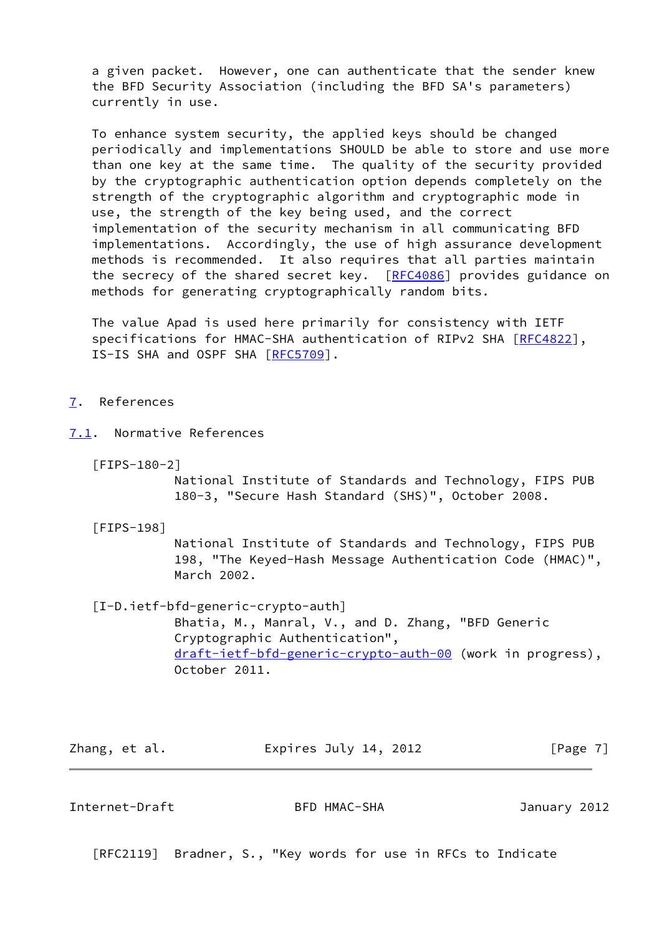a given packet. However, one can authenticate that the sender knew the BFD Security Association (including the BFD SA's parameters) currently in use.

 To enhance system security, the applied keys should be changed periodically and implementations SHOULD be able to store and use more than one key at the same time. The quality of the security provided by the cryptographic authentication option depends completely on the strength of the cryptographic algorithm and cryptographic mode in use, the strength of the key being used, and the correct implementation of the security mechanism in all communicating BFD implementations. Accordingly, the use of high assurance development methods is recommended. It also requires that all parties maintain the secrecy of the shared secret key. [\[RFC4086](https://datatracker.ietf.org/doc/pdf/rfc4086)] provides guidance on methods for generating cryptographically random bits.

 The value Apad is used here primarily for consistency with IETF specifications for HMAC-SHA authentication of RIPv2 SHA [\[RFC4822](https://datatracker.ietf.org/doc/pdf/rfc4822)], IS-IS SHA and OSPF SHA [\[RFC5709](https://datatracker.ietf.org/doc/pdf/rfc5709)].

- <span id="page-7-0"></span>[7](#page-7-0). References
- <span id="page-7-3"></span><span id="page-7-1"></span>[7.1](#page-7-1). Normative References
	- [FIPS-180-2]

 National Institute of Standards and Technology, FIPS PUB 180-3, "Secure Hash Standard (SHS)", October 2008.

<span id="page-7-4"></span>[FIPS-198]

 National Institute of Standards and Technology, FIPS PUB 198, "The Keyed-Hash Message Authentication Code (HMAC)", March 2002.

[I-D.ietf-bfd-generic-crypto-auth]

 Bhatia, M., Manral, V., and D. Zhang, "BFD Generic Cryptographic Authentication", [draft-ietf-bfd-generic-crypto-auth-00](https://datatracker.ietf.org/doc/pdf/draft-ietf-bfd-generic-crypto-auth-00) (work in progress), October 2011.

Zhang, et al. **Expires July 14, 2012** [Page 7]

<span id="page-7-2"></span>Internet-Draft BFD HMAC-SHA January 2012

[RFC2119] Bradner, S., "Key words for use in RFCs to Indicate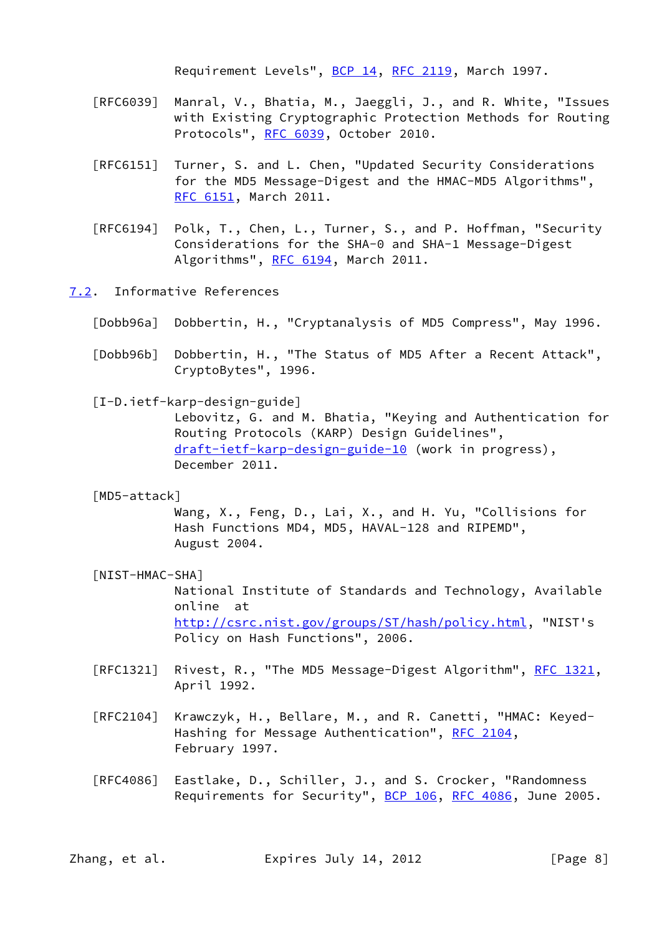Requirement Levels", [BCP 14](https://datatracker.ietf.org/doc/pdf/bcp14), [RFC 2119](https://datatracker.ietf.org/doc/pdf/rfc2119), March 1997.

- [RFC6039] Manral, V., Bhatia, M., Jaeggli, J., and R. White, "Issues with Existing Cryptographic Protection Methods for Routing Protocols", [RFC 6039,](https://datatracker.ietf.org/doc/pdf/rfc6039) October 2010.
- [RFC6151] Turner, S. and L. Chen, "Updated Security Considerations for the MD5 Message-Digest and the HMAC-MD5 Algorithms", [RFC 6151,](https://datatracker.ietf.org/doc/pdf/rfc6151) March 2011.
- [RFC6194] Polk, T., Chen, L., Turner, S., and P. Hoffman, "Security Considerations for the SHA-0 and SHA-1 Message-Digest Algorithms", [RFC 6194](https://datatracker.ietf.org/doc/pdf/rfc6194), March 2011.
- <span id="page-8-0"></span>[7.2](#page-8-0). Informative References
	- [Dobb96a] Dobbertin, H., "Cryptanalysis of MD5 Compress", May 1996.
	- [Dobb96b] Dobbertin, H., "The Status of MD5 After a Recent Attack", CryptoBytes", 1996.
	- [I-D.ietf-karp-design-guide]

 Lebovitz, G. and M. Bhatia, "Keying and Authentication for Routing Protocols (KARP) Design Guidelines", [draft-ietf-karp-design-guide-10](https://datatracker.ietf.org/doc/pdf/draft-ietf-karp-design-guide-10) (work in progress), December 2011.

[MD5-attack]

 Wang, X., Feng, D., Lai, X., and H. Yu, "Collisions for Hash Functions MD4, MD5, HAVAL-128 and RIPEMD", August 2004.

<span id="page-8-1"></span>[NIST-HMAC-SHA]

 National Institute of Standards and Technology, Available online at <http://csrc.nist.gov/groups/ST/hash/policy.html>, "NIST's Policy on Hash Functions", 2006.

- [RFC1321] Rivest, R., "The MD5 Message-Digest Algorithm", [RFC 1321,](https://datatracker.ietf.org/doc/pdf/rfc1321) April 1992.
- [RFC2104] Krawczyk, H., Bellare, M., and R. Canetti, "HMAC: Keyed- Hashing for Message Authentication", [RFC 2104](https://datatracker.ietf.org/doc/pdf/rfc2104), February 1997.
- [RFC4086] Eastlake, D., Schiller, J., and S. Crocker, "Randomness Requirements for Security", [BCP 106](https://datatracker.ietf.org/doc/pdf/bcp106), [RFC 4086](https://datatracker.ietf.org/doc/pdf/rfc4086), June 2005.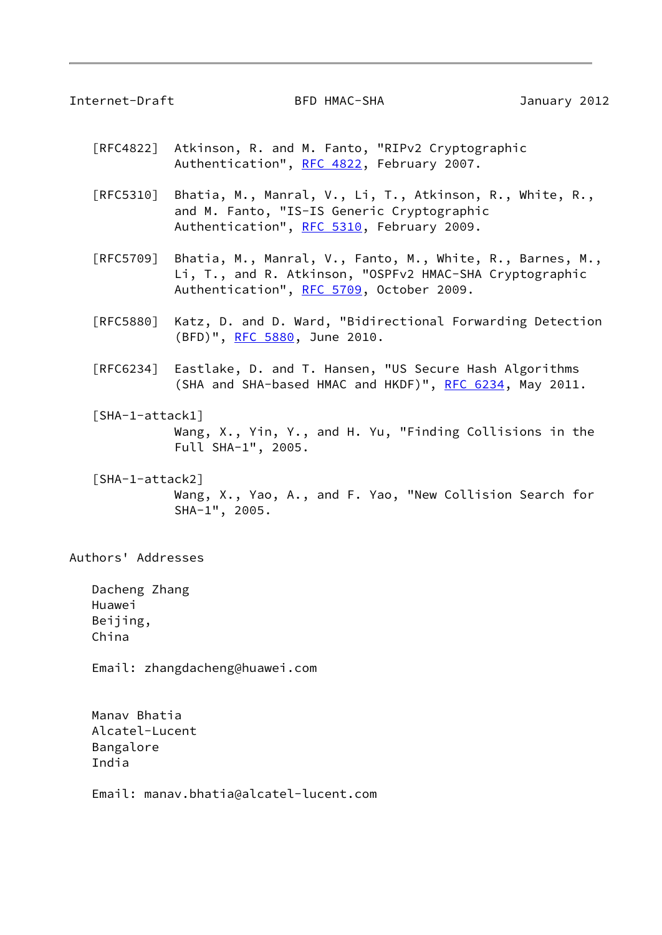<span id="page-9-0"></span>Internet-Draft BFD HMAC-SHA January 2012

- [RFC4822] Atkinson, R. and M. Fanto, "RIPv2 Cryptographic Authentication", [RFC 4822,](https://datatracker.ietf.org/doc/pdf/rfc4822) February 2007.
- [RFC5310] Bhatia, M., Manral, V., Li, T., Atkinson, R., White, R., and M. Fanto, "IS-IS Generic Cryptographic Authentication", [RFC 5310,](https://datatracker.ietf.org/doc/pdf/rfc5310) February 2009.
- [RFC5709] Bhatia, M., Manral, V., Fanto, M., White, R., Barnes, M., Li, T., and R. Atkinson, "OSPFv2 HMAC-SHA Cryptographic Authentication", [RFC 5709,](https://datatracker.ietf.org/doc/pdf/rfc5709) October 2009.
- [RFC5880] Katz, D. and D. Ward, "Bidirectional Forwarding Detection (BFD)", [RFC 5880,](https://datatracker.ietf.org/doc/pdf/rfc5880) June 2010.
- [RFC6234] Eastlake, D. and T. Hansen, "US Secure Hash Algorithms (SHA and SHA-based HMAC and HKDF)", [RFC 6234,](https://datatracker.ietf.org/doc/pdf/rfc6234) May 2011.
- <span id="page-9-1"></span> [SHA-1-attack1] Wang, X., Yin, Y., and H. Yu, "Finding Collisions in the Full SHA-1", 2005.
- <span id="page-9-2"></span> [SHA-1-attack2] Wang, X., Yao, A., and F. Yao, "New Collision Search for SHA-1", 2005.

Authors' Addresses

 Dacheng Zhang Huawei Beijing, China

Email: zhangdacheng@huawei.com

 Manav Bhatia Alcatel-Lucent Bangalore India

Email: manav.bhatia@alcatel-lucent.com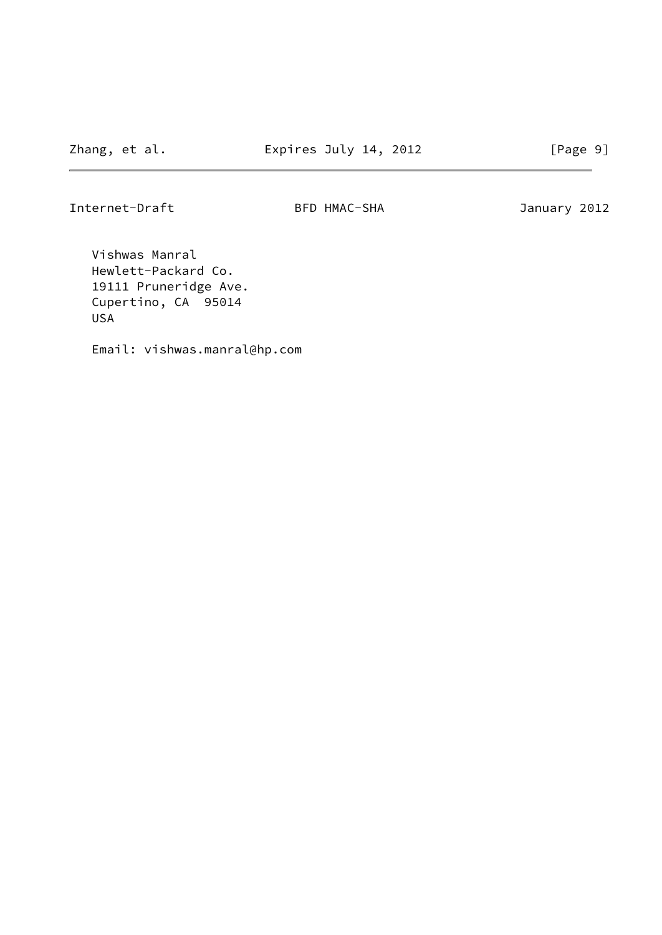Internet-Draft BFD HMAC-SHA January 2012

 Vishwas Manral Hewlett-Packard Co. 19111 Pruneridge Ave. Cupertino, CA 95014 USA

Email: vishwas.manral@hp.com